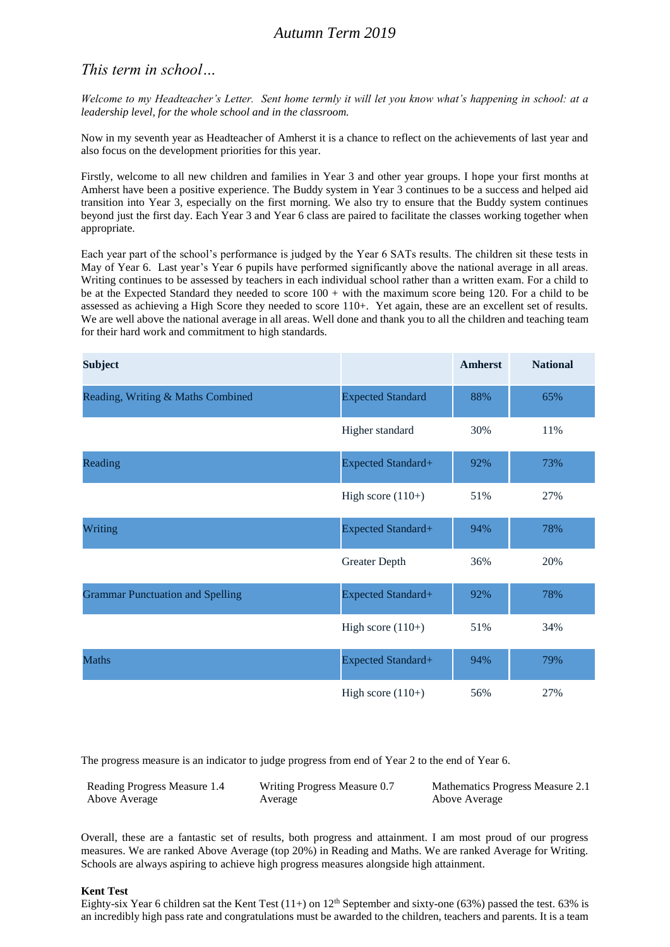## *This term in school…*

*Welcome to my Headteacher's Letter. Sent home termly it will let you know what's happening in school: at a leadership level, for the whole school and in the classroom.*

Now in my seventh year as Headteacher of Amherst it is a chance to reflect on the achievements of last year and also focus on the development priorities for this year.

Firstly, welcome to all new children and families in Year 3 and other year groups. I hope your first months at Amherst have been a positive experience. The Buddy system in Year 3 continues to be a success and helped aid transition into Year 3, especially on the first morning. We also try to ensure that the Buddy system continues beyond just the first day. Each Year 3 and Year 6 class are paired to facilitate the classes working together when appropriate.

Each year part of the school's performance is judged by the Year 6 SATs results. The children sit these tests in May of Year 6. Last year's Year 6 pupils have performed significantly above the national average in all areas. Writing continues to be assessed by teachers in each individual school rather than a written exam. For a child to be at the Expected Standard they needed to score 100 + with the maximum score being 120. For a child to be assessed as achieving a High Score they needed to score 110+. Yet again, these are an excellent set of results. We are well above the national average in all areas. Well done and thank you to all the children and teaching team for their hard work and commitment to high standards.

| <b>Subject</b>                          |                           | <b>Amherst</b> | <b>National</b> |
|-----------------------------------------|---------------------------|----------------|-----------------|
| Reading, Writing & Maths Combined       | <b>Expected Standard</b>  | 88%            | 65%             |
|                                         | Higher standard           | 30%            | 11%             |
| Reading                                 | <b>Expected Standard+</b> | 92%            | 73%             |
|                                         | High score $(110+)$       | 51%            | 27%             |
| Writing                                 | Expected Standard+        | 94%            | 78%             |
|                                         | Greater Depth             | 36%            | 20%             |
| <b>Grammar Punctuation and Spelling</b> | Expected Standard+        | 92%            | 78%             |
|                                         | High score $(110+)$       | 51%            | 34%             |
| <b>Maths</b>                            | Expected Standard+        | 94%            | 79%             |
|                                         | High score $(110+)$       | 56%            | 27%             |

The progress measure is an indicator to judge progress from end of Year 2 to the end of Year 6.

| Reading Progress Measure 1.4 | Writing Progress Measure 0.7 | Mathematics Progress Measure 2.1 |
|------------------------------|------------------------------|----------------------------------|
| Above Average                | Average                      | Above Average                    |

Overall, these are a fantastic set of results, both progress and attainment. I am most proud of our progress measures. We are ranked Above Average (top 20%) in Reading and Maths. We are ranked Average for Writing. Schools are always aspiring to achieve high progress measures alongside high attainment.

## **Kent Test**

Eighty-six Year 6 children sat the Kent Test  $(11+)$  on  $12<sup>th</sup>$  September and sixty-one (63%) passed the test. 63% is an incredibly high pass rate and congratulations must be awarded to the children, teachers and parents. It is a team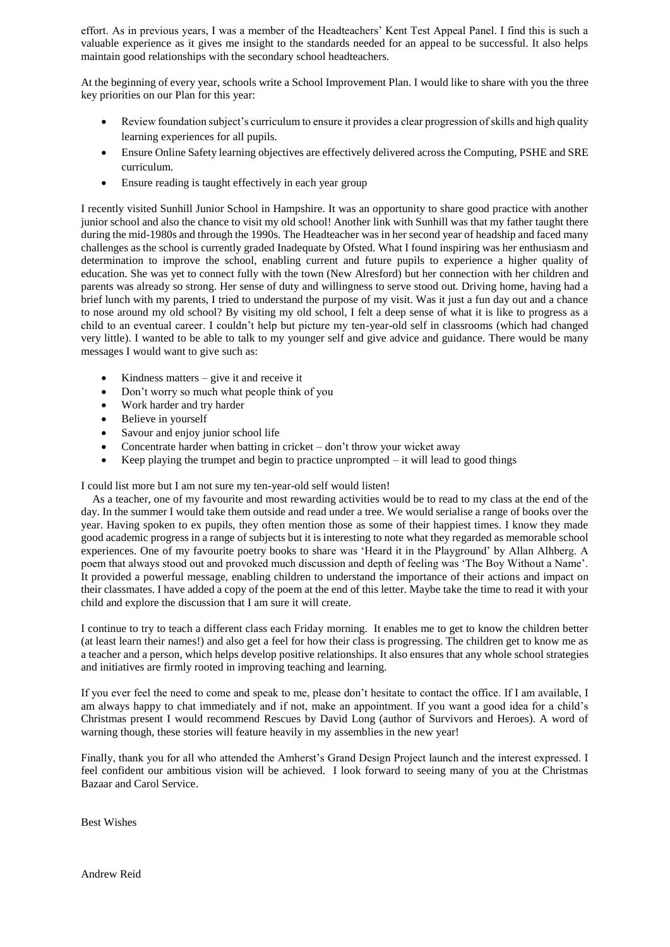effort. As in previous years, I was a member of the Headteachers' Kent Test Appeal Panel. I find this is such a valuable experience as it gives me insight to the standards needed for an appeal to be successful. It also helps maintain good relationships with the secondary school headteachers.

At the beginning of every year, schools write a School Improvement Plan. I would like to share with you the three key priorities on our Plan for this year:

- Review foundation subject's curriculum to ensure it provides a clear progression of skills and high quality learning experiences for all pupils.
- Ensure Online Safety learning objectives are effectively delivered across the Computing, PSHE and SRE curriculum.
- Ensure reading is taught effectively in each year group

I recently visited Sunhill Junior School in Hampshire. It was an opportunity to share good practice with another junior school and also the chance to visit my old school! Another link with Sunhill was that my father taught there during the mid-1980s and through the 1990s. The Headteacher was in her second year of headship and faced many challenges as the school is currently graded Inadequate by Ofsted. What I found inspiring was her enthusiasm and determination to improve the school, enabling current and future pupils to experience a higher quality of education. She was yet to connect fully with the town (New Alresford) but her connection with her children and parents was already so strong. Her sense of duty and willingness to serve stood out. Driving home, having had a brief lunch with my parents, I tried to understand the purpose of my visit. Was it just a fun day out and a chance to nose around my old school? By visiting my old school, I felt a deep sense of what it is like to progress as a child to an eventual career. I couldn't help but picture my ten-year-old self in classrooms (which had changed very little). I wanted to be able to talk to my younger self and give advice and guidance. There would be many messages I would want to give such as:

- $\bullet$  Kindness matters give it and receive it
- Don't worry so much what people think of you
- Work harder and try harder
- Believe in yourself
- Savour and enjoy junior school life
- Concentrate harder when batting in cricket don't throw your wicket away
- Example Xeep playing the trumpet and begin to practice unprompted  $-$  it will lead to good things

I could list more but I am not sure my ten-year-old self would listen!

 As a teacher, one of my favourite and most rewarding activities would be to read to my class at the end of the day. In the summer I would take them outside and read under a tree. We would serialise a range of books over the year. Having spoken to ex pupils, they often mention those as some of their happiest times. I know they made good academic progress in a range of subjects but it is interesting to note what they regarded as memorable school experiences. One of my favourite poetry books to share was 'Heard it in the Playground' by Allan Alhberg. A poem that always stood out and provoked much discussion and depth of feeling was 'The Boy Without a Name'. It provided a powerful message, enabling children to understand the importance of their actions and impact on their classmates. I have added a copy of the poem at the end of this letter. Maybe take the time to read it with your child and explore the discussion that I am sure it will create.

I continue to try to teach a different class each Friday morning. It enables me to get to know the children better (at least learn their names!) and also get a feel for how their class is progressing. The children get to know me as a teacher and a person, which helps develop positive relationships. It also ensures that any whole school strategies and initiatives are firmly rooted in improving teaching and learning.

If you ever feel the need to come and speak to me, please don't hesitate to contact the office. If I am available, I am always happy to chat immediately and if not, make an appointment. If you want a good idea for a child's Christmas present I would recommend Rescues by David Long (author of Survivors and Heroes). A word of warning though, these stories will feature heavily in my assemblies in the new year!

Finally, thank you for all who attended the Amherst's Grand Design Project launch and the interest expressed. I feel confident our ambitious vision will be achieved. I look forward to seeing many of you at the Christmas Bazaar and Carol Service.

Best Wishes